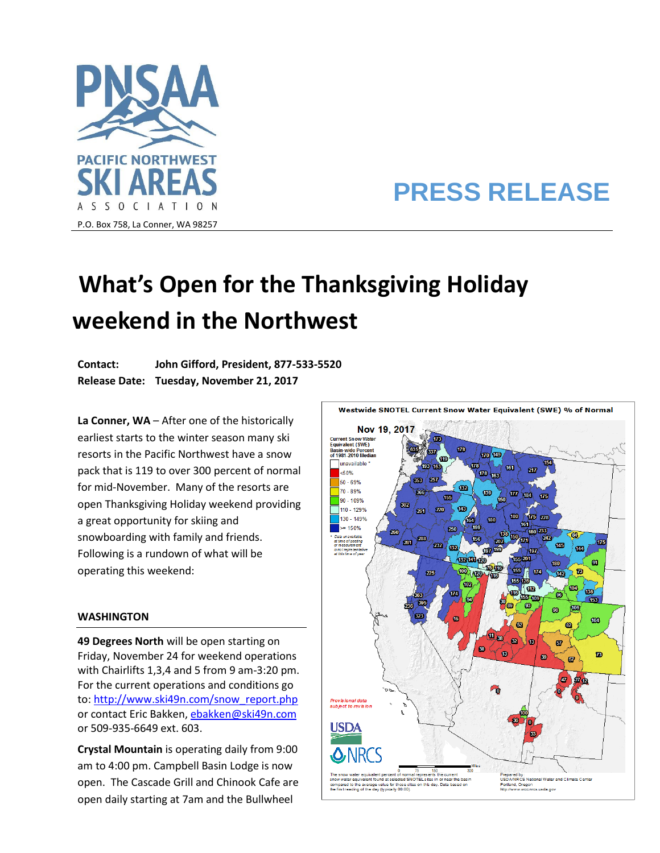

## **PRESS RELEASE**

## **What's Open for the Thanksgiving Holiday weekend in the Northwest**

**Contact: John Gifford, President, 877-533-5520 Release Date: Tuesday, November 21, 2017**

**La Conner, WA** – After one of the historically earliest starts to the winter season many ski resorts in the Pacific Northwest have a snow pack that is 119 to over 300 percent of normal for mid-November. Many of the resorts are open Thanksgiving Holiday weekend providing a great opportunity for skiing and snowboarding with family and friends. Following is a rundown of what will be operating this weekend:

## **WASHINGTON**

**49 Degrees North** will be open starting on Friday, November 24 for weekend operations with Chairlifts 1,3,4 and 5 from 9 am-3:20 pm. For the current operations and conditions go to: [http://www.ski49n.com/snow\\_report.php](http://www.ski49n.com/snow_report.php) or contact Eric Bakken[, ebakken@ski49n.com](mailto:ebakken@ski49n.com) or 509-935-6649 ext. 603.

**Crystal Mountain** is operating daily from 9:00 am to 4:00 pm. Campbell Basin Lodge is now open. The Cascade Grill and Chinook Cafe are open daily starting at 7am and the Bullwheel

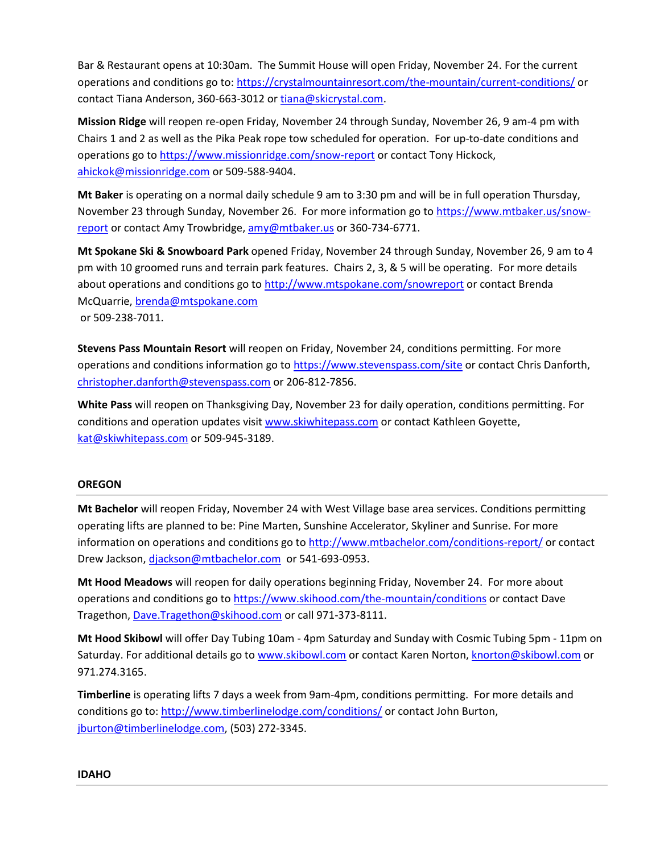Bar & Restaurant opens at 10:30am. The Summit House will open Friday, November 24. For the current operations and conditions go to[: https://crystalmountainresort.com/the-mountain/current-conditions/](https://crystalmountainresort.com/the-mountain/current-conditions/) or contact Tiana Anderson, 360-663-3012 or [tiana@skicrystal.com.](mailto:tiana@skicrystal.com)

**Mission Ridge** will reopen re-open Friday, November 24 through Sunday, November 26, 9 am-4 pm with Chairs 1 and 2 as well as the Pika Peak rope tow scheduled for operation. For up-to-date conditions and operations go to<https://www.missionridge.com/snow-report> or contact Tony Hickock, [ahickok@missionridge.com](mailto:ahickok@missionridge.com) or 509-588-9404.

**Mt Baker** is operating on a normal daily schedule 9 am to 3:30 pm and will be in full operation Thursday, November 23 through Sunday, November 26. For more information go to [https://www.mtbaker.us/snow](https://www.mtbaker.us/snow-report)[report](https://www.mtbaker.us/snow-report) or contact Amy Trowbridge, [amy@mtbaker.us](mailto:amy@mtbaker.us) or 360-734-6771.

**Mt Spokane Ski & Snowboard Park** opened Friday, November 24 through Sunday, November 26, 9 am to 4 pm with 10 groomed runs and terrain park features. Chairs 2, 3, & 5 will be operating. For more details about operations and conditions go to<http://www.mtspokane.com/snowreport> or contact Brenda McQuarrie, [brenda@mtspokane.com](mailto:brenda@mtspokane.com) or 509-238-7011.

**Stevens Pass Mountain Resort** will reopen on Friday, November 24, conditions permitting. For more operations and conditions information go to<https://www.stevenspass.com/site> or contact Chris Danforth, [christopher.danforth@stevenspass.com](mailto:christopher.danforth@stevenspass.com) or 206-812-7856.

**White Pass** will reopen on Thanksgiving Day, November 23 for daily operation, conditions permitting. For conditions and operation updates visit [www.skiwhitepass.com](http://www.skiwhitepass.com/) or contact Kathleen Goyette, [kat@skiwhitepass.com](mailto:kat@skiwhitepass.com) or 509-945-3189.

## **OREGON**

**Mt Bachelor** will reopen Friday, November 24 with West Village base area services. Conditions permitting operating lifts are planned to be: Pine Marten, Sunshine Accelerator, Skyliner and Sunrise. For more information on operations and conditions go to <http://www.mtbachelor.com/conditions-report/> or contact Drew Jackson, [djackson@mtbachelor.com](mailto:djackson@mtbachelor.com) or 541-693-0953.

**Mt Hood Meadows** will reopen for daily operations beginning Friday, November 24. For more about operations and conditions go t[o https://www.skihood.com/the-mountain/conditions](https://www.skihood.com/the-mountain/conditions) or contact Dave Tragethon[, Dave.Tragethon@skihood.com](mailto:Dave.Tragethon@skihood.com) or call 971-373-8111.

**Mt Hood Skibowl** will offer Day Tubing 10am - 4pm Saturday and Sunday with Cosmic Tubing 5pm - 11pm on Saturday. For additional details go to [www.skibowl.com](http://www.skibowl.com/) or contact Karen Norton[, knorton@skibowl.com](mailto:knorton@skibowl.com) or 971.274.3165.

**Timberline** is operating lifts 7 days a week from 9am-4pm, conditions permitting. For more details and conditions go to[: http://www.timberlinelodge.com/conditions/](http://www.timberlinelodge.com/conditions/) or contact John Burton, [jburton@timberlinelodge.com,](mailto:jburton@timberlinelodge.com) (503) 272-3345.